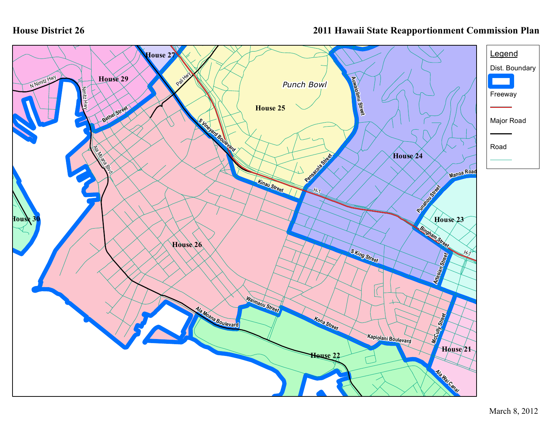## **2011 Hawaii State Reapportionment Commission Plan**